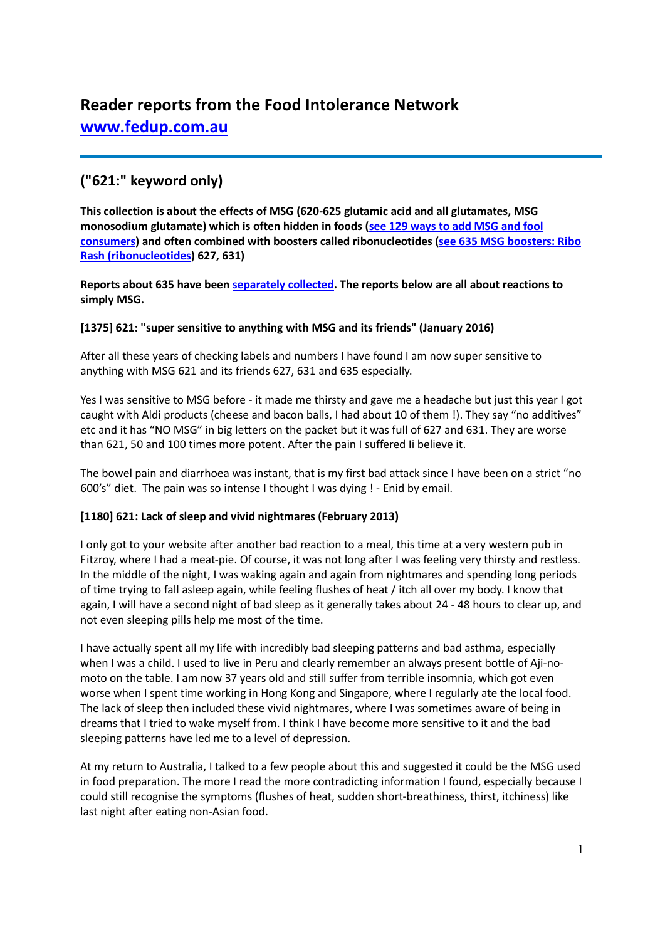# **Reader reports from the Food Intolerance Network [www.fedup.com.au](http://www.fedup.com.au/)**

# **("621:" keyword only)**

**This collection is about the effects of MSG (620-625 glutamic acid and all glutamates, MSG monosodium glutamate) which is often hidden in foods [\(see 129 ways to add MSG and fool](http://www.fedup.com.au/news/blog/129-ways-to-add-msg-and-fool-consumers)  [consumers\)](http://www.fedup.com.au/news/blog/129-ways-to-add-msg-and-fool-consumers) and often combined with boosters called ribonucleotides [\(see 635 MSG boosters: Ribo](http://www.fedup.com.au/factsheets/additive-and-natural-chemical-factsheets/635-msg-boosters-ribo-rash-ribonucleotides-627-631)  [Rash \(ribonucleotides\)](http://www.fedup.com.au/factsheets/additive-and-natural-chemical-factsheets/635-msg-boosters-ribo-rash-ribonucleotides-627-631) 627, 631)**

**Reports about 635 have been [separately collected.](http://www.fedup.com.au/images/stories/SC635ribonucleotides.pdf) The reports below are all about reactions to simply MSG.**

# **[1375] 621: "super sensitive to anything with MSG and its friends" (January 2016)**

After all these years of checking labels and numbers I have found I am now super sensitive to anything with MSG 621 and its friends 627, 631 and 635 especially.

Yes I was sensitive to MSG before - it made me thirsty and gave me a headache but just this year I got caught with Aldi products (cheese and bacon balls, I had about 10 of them !). They say "no additives" etc and it has "NO MSG" in big letters on the packet but it was full of 627 and 631. They are worse than 621, 50 and 100 times more potent. After the pain I suffered Ii believe it.

The bowel pain and diarrhoea was instant, that is my first bad attack since I have been on a strict "no 600's" diet. The pain was so intense I thought I was dying ! - Enid by email.

# **[1180] 621: Lack of sleep and vivid nightmares (February 2013)**

I only got to your website after another bad reaction to a meal, this time at a very western pub in Fitzroy, where I had a meat-pie. Of course, it was not long after I was feeling very thirsty and restless. In the middle of the night, I was waking again and again from nightmares and spending long periods of time trying to fall asleep again, while feeling flushes of heat / itch all over my body. I know that again, I will have a second night of bad sleep as it generally takes about 24 - 48 hours to clear up, and not even sleeping pills help me most of the time.

I have actually spent all my life with incredibly bad sleeping patterns and bad asthma, especially when I was a child. I used to live in Peru and clearly remember an always present bottle of Aji-nomoto on the table. I am now 37 years old and still suffer from terrible insomnia, which got even worse when I spent time working in Hong Kong and Singapore, where I regularly ate the local food. The lack of sleep then included these vivid nightmares, where I was sometimes aware of being in dreams that I tried to wake myself from. I think I have become more sensitive to it and the bad sleeping patterns have led me to a level of depression.

At my return to Australia, I talked to a few people about this and suggested it could be the MSG used in food preparation. The more I read the more contradicting information I found, especially because I could still recognise the symptoms (flushes of heat, sudden short-breathiness, thirst, itchiness) like last night after eating non-Asian food.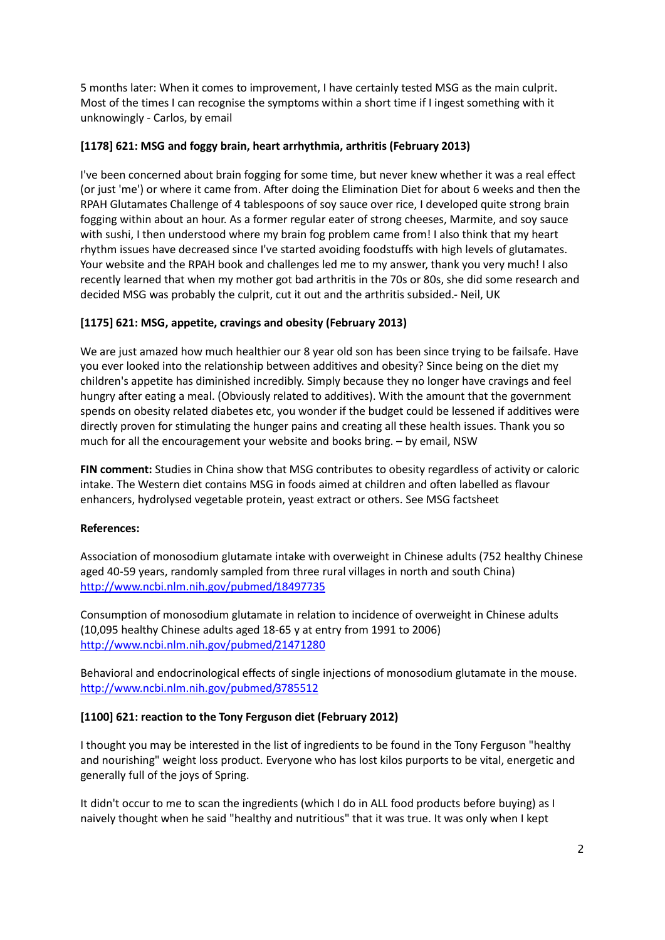5 months later: When it comes to improvement, I have certainly tested MSG as the main culprit. Most of the times I can recognise the symptoms within a short time if I ingest something with it unknowingly - Carlos, by email

### **[1178] 621: MSG and foggy brain, heart arrhythmia, arthritis (February 2013)**

I've been concerned about brain fogging for some time, but never knew whether it was a real effect (or just 'me') or where it came from. After doing the Elimination Diet for about 6 weeks and then the RPAH Glutamates Challenge of 4 tablespoons of soy sauce over rice, I developed quite strong brain fogging within about an hour. As a former regular eater of strong cheeses, Marmite, and soy sauce with sushi, I then understood where my brain fog problem came from! I also think that my heart rhythm issues have decreased since I've started avoiding foodstuffs with high levels of glutamates. Your website and the RPAH book and challenges led me to my answer, thank you very much! I also recently learned that when my mother got bad arthritis in the 70s or 80s, she did some research and decided MSG was probably the culprit, cut it out and the arthritis subsided.- Neil, UK

# **[1175] 621: MSG, appetite, cravings and obesity (February 2013)**

We are just amazed how much healthier our 8 year old son has been since trying to be failsafe. Have you ever looked into the relationship between additives and obesity? Since being on the diet my children's appetite has diminished incredibly. Simply because they no longer have cravings and feel hungry after eating a meal. (Obviously related to additives). With the amount that the government spends on obesity related diabetes etc, you wonder if the budget could be lessened if additives were directly proven for stimulating the hunger pains and creating all these health issues. Thank you so much for all the encouragement your website and books bring. – by email, NSW

**FIN comment:** Studies in China show that MSG contributes to obesity regardless of activity or caloric intake. The Western diet contains MSG in foods aimed at children and often labelled as flavour enhancers, hydrolysed vegetable protein, yeast extract or others. See MSG factsheet

#### **References:**

Association of monosodium glutamate intake with overweight in Chinese adults (752 healthy Chinese aged 40-59 years, randomly sampled from three rural villages in north and south China) <http://www.ncbi.nlm.nih.gov/pubmed/18497735>

Consumption of monosodium glutamate in relation to incidence of overweight in Chinese adults (10,095 healthy Chinese adults aged 18-65 y at entry from 1991 to 2006) <http://www.ncbi.nlm.nih.gov/pubmed/21471280>

Behavioral and endocrinological effects of single injections of monosodium glutamate in the mouse. <http://www.ncbi.nlm.nih.gov/pubmed/3785512>

#### **[1100] 621: reaction to the Tony Ferguson diet (February 2012)**

I thought you may be interested in the list of ingredients to be found in the Tony Ferguson "healthy and nourishing" weight loss product. Everyone who has lost kilos purports to be vital, energetic and generally full of the joys of Spring.

It didn't occur to me to scan the ingredients (which I do in ALL food products before buying) as I naively thought when he said "healthy and nutritious" that it was true. It was only when I kept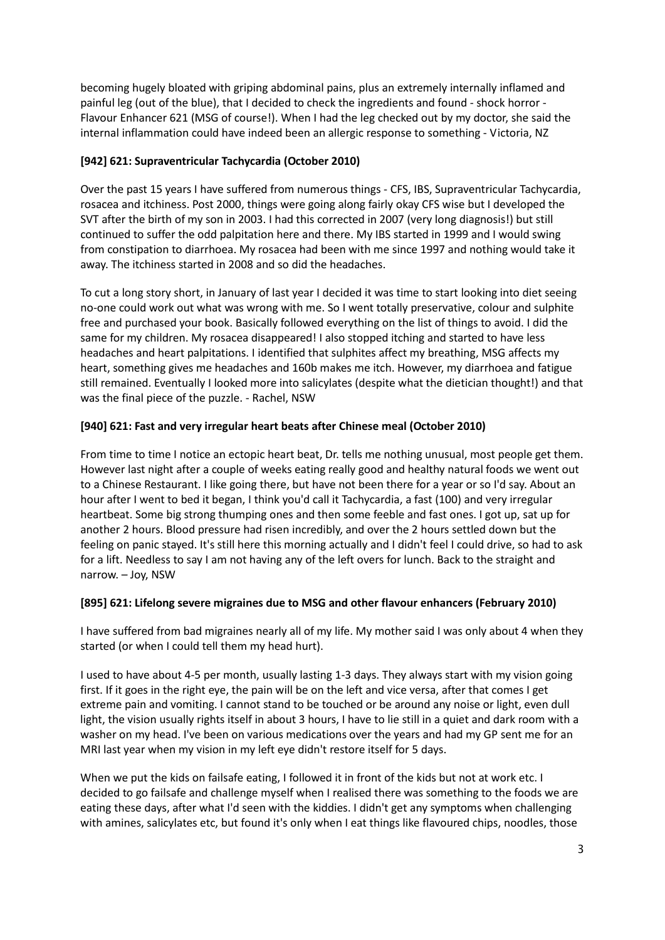becoming hugely bloated with griping abdominal pains, plus an extremely internally inflamed and painful leg (out of the blue), that I decided to check the ingredients and found - shock horror - Flavour Enhancer 621 (MSG of course!). When I had the leg checked out by my doctor, she said the internal inflammation could have indeed been an allergic response to something - Victoria, NZ

# **[942] 621: Supraventricular Tachycardia (October 2010)**

Over the past 15 years I have suffered from numerous things - CFS, IBS, Supraventricular Tachycardia, rosacea and itchiness. Post 2000, things were going along fairly okay CFS wise but I developed the SVT after the birth of my son in 2003. I had this corrected in 2007 (very long diagnosis!) but still continued to suffer the odd palpitation here and there. My IBS started in 1999 and I would swing from constipation to diarrhoea. My rosacea had been with me since 1997 and nothing would take it away. The itchiness started in 2008 and so did the headaches.

To cut a long story short, in January of last year I decided it was time to start looking into diet seeing no-one could work out what was wrong with me. So I went totally preservative, colour and sulphite free and purchased your book. Basically followed everything on the list of things to avoid. I did the same for my children. My rosacea disappeared! I also stopped itching and started to have less headaches and heart palpitations. I identified that sulphites affect my breathing, MSG affects my heart, something gives me headaches and 160b makes me itch. However, my diarrhoea and fatigue still remained. Eventually I looked more into salicylates (despite what the dietician thought!) and that was the final piece of the puzzle. - Rachel, NSW

# **[940] 621: Fast and very irregular heart beats after Chinese meal (October 2010)**

From time to time I notice an ectopic heart beat, Dr. tells me nothing unusual, most people get them. However last night after a couple of weeks eating really good and healthy natural foods we went out to a Chinese Restaurant. I like going there, but have not been there for a year or so I'd say. About an hour after I went to bed it began, I think you'd call it Tachycardia, a fast (100) and very irregular heartbeat. Some big strong thumping ones and then some feeble and fast ones. I got up, sat up for another 2 hours. Blood pressure had risen incredibly, and over the 2 hours settled down but the feeling on panic stayed. It's still here this morning actually and I didn't feel I could drive, so had to ask for a lift. Needless to say I am not having any of the left overs for lunch. Back to the straight and narrow. – Joy, NSW

# **[895] 621: Lifelong severe migraines due to MSG and other flavour enhancers (February 2010)**

I have suffered from bad migraines nearly all of my life. My mother said I was only about 4 when they started (or when I could tell them my head hurt).

I used to have about 4-5 per month, usually lasting 1-3 days. They always start with my vision going first. If it goes in the right eye, the pain will be on the left and vice versa, after that comes I get extreme pain and vomiting. I cannot stand to be touched or be around any noise or light, even dull light, the vision usually rights itself in about 3 hours, I have to lie still in a quiet and dark room with a washer on my head. I've been on various medications over the years and had my GP sent me for an MRI last year when my vision in my left eye didn't restore itself for 5 days.

When we put the kids on failsafe eating, I followed it in front of the kids but not at work etc. I decided to go failsafe and challenge myself when I realised there was something to the foods we are eating these days, after what I'd seen with the kiddies. I didn't get any symptoms when challenging with amines, salicylates etc, but found it's only when I eat things like flavoured chips, noodles, those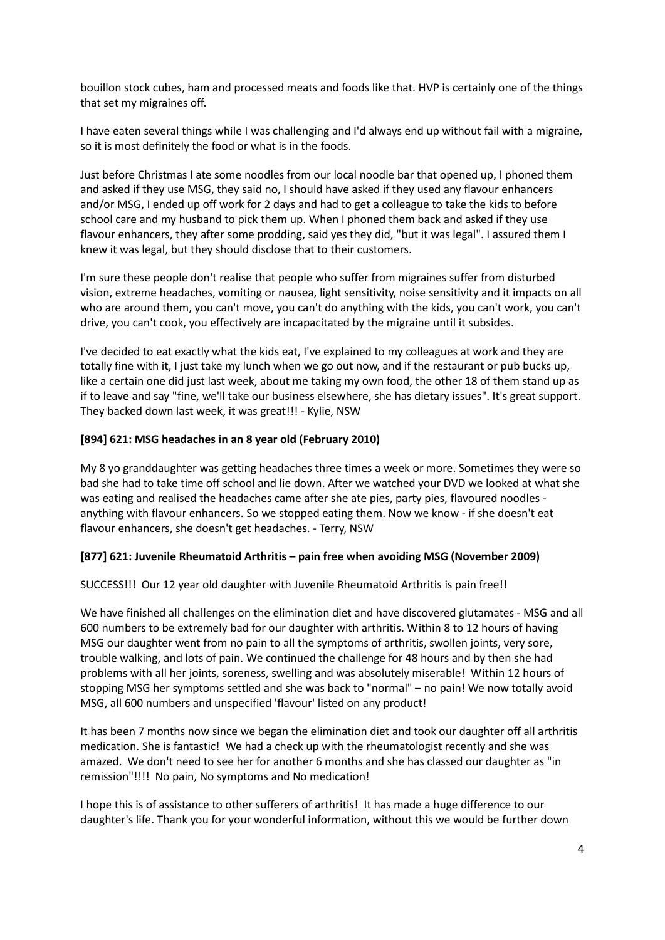bouillon stock cubes, ham and processed meats and foods like that. HVP is certainly one of the things that set my migraines off.

I have eaten several things while I was challenging and I'd always end up without fail with a migraine, so it is most definitely the food or what is in the foods.

Just before Christmas I ate some noodles from our local noodle bar that opened up, I phoned them and asked if they use MSG, they said no, I should have asked if they used any flavour enhancers and/or MSG, I ended up off work for 2 days and had to get a colleague to take the kids to before school care and my husband to pick them up. When I phoned them back and asked if they use flavour enhancers, they after some prodding, said yes they did, "but it was legal". I assured them I knew it was legal, but they should disclose that to their customers.

I'm sure these people don't realise that people who suffer from migraines suffer from disturbed vision, extreme headaches, vomiting or nausea, light sensitivity, noise sensitivity and it impacts on all who are around them, you can't move, you can't do anything with the kids, you can't work, you can't drive, you can't cook, you effectively are incapacitated by the migraine until it subsides.

I've decided to eat exactly what the kids eat, I've explained to my colleagues at work and they are totally fine with it, I just take my lunch when we go out now, and if the restaurant or pub bucks up, like a certain one did just last week, about me taking my own food, the other 18 of them stand up as if to leave and say "fine, we'll take our business elsewhere, she has dietary issues". It's great support. They backed down last week, it was great!!! - Kylie, NSW

#### **[894] 621: MSG headaches in an 8 year old (February 2010)**

My 8 yo granddaughter was getting headaches three times a week or more. Sometimes they were so bad she had to take time off school and lie down. After we watched your DVD we looked at what she was eating and realised the headaches came after she ate pies, party pies, flavoured noodles anything with flavour enhancers. So we stopped eating them. Now we know - if she doesn't eat flavour enhancers, she doesn't get headaches. - Terry, NSW

#### **[877] 621: Juvenile Rheumatoid Arthritis – pain free when avoiding MSG (November 2009)**

SUCCESS!!! Our 12 year old daughter with Juvenile Rheumatoid Arthritis is pain free!!

We have finished all challenges on the elimination diet and have discovered glutamates - MSG and all 600 numbers to be extremely bad for our daughter with arthritis. Within 8 to 12 hours of having MSG our daughter went from no pain to all the symptoms of arthritis, swollen joints, very sore, trouble walking, and lots of pain. We continued the challenge for 48 hours and by then she had problems with all her joints, soreness, swelling and was absolutely miserable! Within 12 hours of stopping MSG her symptoms settled and she was back to "normal" – no pain! We now totally avoid MSG, all 600 numbers and unspecified 'flavour' listed on any product!

It has been 7 months now since we began the elimination diet and took our daughter off all arthritis medication. She is fantastic! We had a check up with the rheumatologist recently and she was amazed. We don't need to see her for another 6 months and she has classed our daughter as "in remission"!!!! No pain, No symptoms and No medication!

I hope this is of assistance to other sufferers of arthritis! It has made a huge difference to our daughter's life. Thank you for your wonderful information, without this we would be further down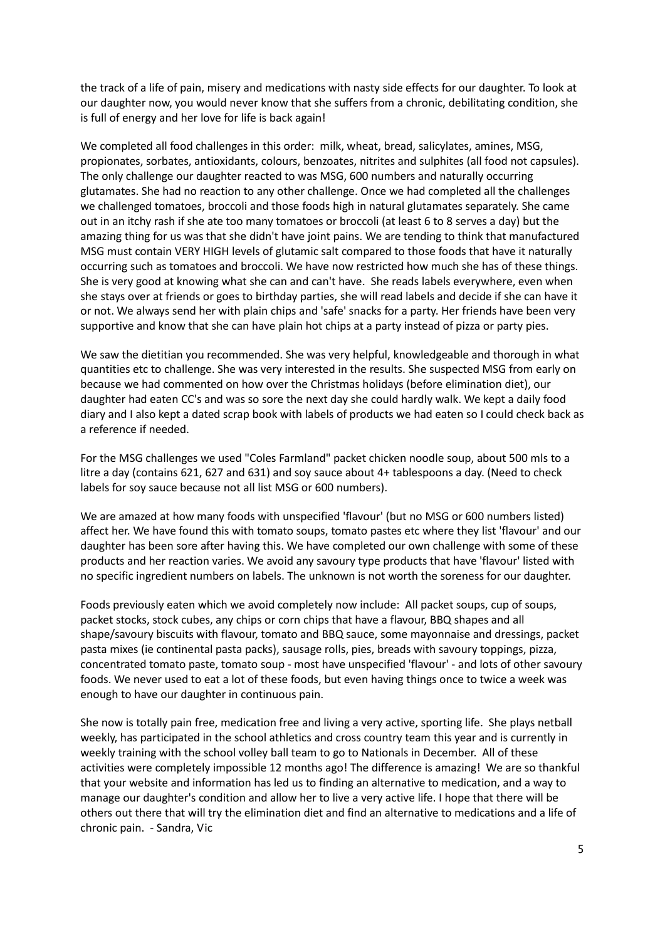the track of a life of pain, misery and medications with nasty side effects for our daughter. To look at our daughter now, you would never know that she suffers from a chronic, debilitating condition, she is full of energy and her love for life is back again!

We completed all food challenges in this order: milk, wheat, bread, salicylates, amines, MSG, propionates, sorbates, antioxidants, colours, benzoates, nitrites and sulphites (all food not capsules). The only challenge our daughter reacted to was MSG, 600 numbers and naturally occurring glutamates. She had no reaction to any other challenge. Once we had completed all the challenges we challenged tomatoes, broccoli and those foods high in natural glutamates separately. She came out in an itchy rash if she ate too many tomatoes or broccoli (at least 6 to 8 serves a day) but the amazing thing for us was that she didn't have joint pains. We are tending to think that manufactured MSG must contain VERY HIGH levels of glutamic salt compared to those foods that have it naturally occurring such as tomatoes and broccoli. We have now restricted how much she has of these things. She is very good at knowing what she can and can't have. She reads labels everywhere, even when she stays over at friends or goes to birthday parties, she will read labels and decide if she can have it or not. We always send her with plain chips and 'safe' snacks for a party. Her friends have been very supportive and know that she can have plain hot chips at a party instead of pizza or party pies.

We saw the dietitian you recommended. She was very helpful, knowledgeable and thorough in what quantities etc to challenge. She was very interested in the results. She suspected MSG from early on because we had commented on how over the Christmas holidays (before elimination diet), our daughter had eaten CC's and was so sore the next day she could hardly walk. We kept a daily food diary and I also kept a dated scrap book with labels of products we had eaten so I could check back as a reference if needed.

For the MSG challenges we used "Coles Farmland" packet chicken noodle soup, about 500 mls to a litre a day (contains 621, 627 and 631) and soy sauce about 4+ tablespoons a day. (Need to check labels for soy sauce because not all list MSG or 600 numbers).

We are amazed at how many foods with unspecified 'flavour' (but no MSG or 600 numbers listed) affect her. We have found this with tomato soups, tomato pastes etc where they list 'flavour' and our daughter has been sore after having this. We have completed our own challenge with some of these products and her reaction varies. We avoid any savoury type products that have 'flavour' listed with no specific ingredient numbers on labels. The unknown is not worth the soreness for our daughter.

Foods previously eaten which we avoid completely now include: All packet soups, cup of soups, packet stocks, stock cubes, any chips or corn chips that have a flavour, BBQ shapes and all shape/savoury biscuits with flavour, tomato and BBQ sauce, some mayonnaise and dressings, packet pasta mixes (ie continental pasta packs), sausage rolls, pies, breads with savoury toppings, pizza, concentrated tomato paste, tomato soup - most have unspecified 'flavour' - and lots of other savoury foods. We never used to eat a lot of these foods, but even having things once to twice a week was enough to have our daughter in continuous pain.

She now is totally pain free, medication free and living a very active, sporting life. She plays netball weekly, has participated in the school athletics and cross country team this year and is currently in weekly training with the school volley ball team to go to Nationals in December. All of these activities were completely impossible 12 months ago! The difference is amazing! We are so thankful that your website and information has led us to finding an alternative to medication, and a way to manage our daughter's condition and allow her to live a very active life. I hope that there will be others out there that will try the elimination diet and find an alternative to medications and a life of chronic pain. - Sandra, Vic